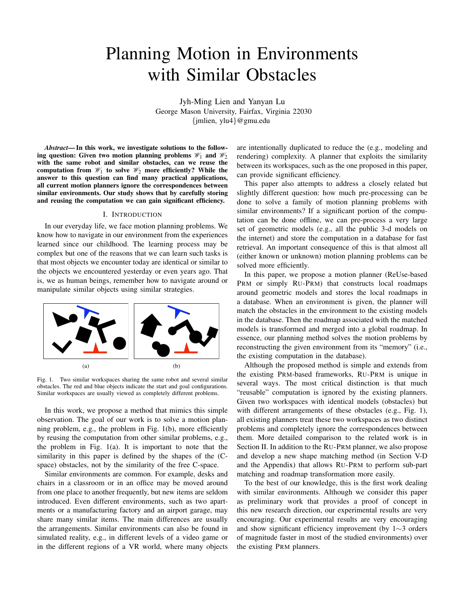# Planning Motion in Environments with Similar Obstacles

Jyh-Ming Lien and Yanyan Lu George Mason University, Fairfax, Virginia 22030 {jmlien, ylu4}@gmu.edu

*Abstract*— In this work, we investigate solutions to the following question: Given two motion planning problems  $\mathcal{W}_1$  and  $\mathcal{W}_2$ with the same robot and similar obstacles, can we reuse the computation from  $\mathcal{W}_1$  to solve  $\mathcal{W}_2$  more efficiently? While the answer to this question can find many practical applications, all current motion planners ignore the correspondences between similar environments. Our study shows that by carefully storing and reusing the computation we can gain significant efficiency.

## I. INTRODUCTION

In our everyday life, we face motion planning problems. We know how to navigate in our environment from the experiences learned since our childhood. The learning process may be complex but one of the reasons that we can learn such tasks is that most objects we encounter today are identical or similar to the objects we encountered yesterday or even years ago. That is, we as human beings, remember how to navigate around or manipulate similar objects using similar strategies.



Fig. 1. Two similar workspaces sharing the same robot and several similar obstacles. The red and blue objects indicate the start and goal configurations. Similar workspaces are usually viewed as completely different problems.

In this work, we propose a method that mimics this simple observation. The goal of our work is to solve a motion planning problem, e.g., the problem in Fig. 1(b), more efficiently by reusing the computation from other similar problems, e.g., the problem in Fig.  $1(a)$ . It is important to note that the similarity in this paper is defined by the shapes of the (Cspace) obstacles, not by the similarity of the free C-space.

Similar environments are common. For example, desks and chairs in a classroom or in an office may be moved around from one place to another frequently, but new items are seldom introduced. Even different environments, such as two apartments or a manufacturing factory and an airport garage, may share many similar items. The main differences are usually the arrangements. Similar environments can also be found in simulated reality, e.g., in different levels of a video game or in the different regions of a VR world, where many objects are intentionally duplicated to reduce the (e.g., modeling and rendering) complexity. A planner that exploits the similarity between its workspaces, such as the one proposed in this paper, can provide significant efficiency.

This paper also attempts to address a closely related but slightly different question: how much pre-processing can be done to solve a family of motion planning problems with similar environments? If a significant portion of the computation can be done offline, we can pre-process a very large set of geometric models (e.g., all the public 3-d models on the internet) and store the computation in a database for fast retrieval. An important consequence of this is that almost all (either known or unknown) motion planning problems can be solved more efficiently.

In this paper, we propose a motion planner (ReUse-based PRM or simply RU-PRM) that constructs local roadmaps around geometric models and stores the local roadmaps in a database. When an environment is given, the planner will match the obstacles in the environment to the existing models in the database. Then the roadmap associated with the matched models is transformed and merged into a global roadmap. In essence, our planning method solves the motion problems by reconstructing the given environment from its "memory" (i.e., the existing computation in the database).

Although the proposed method is simple and extends from the existing PRM-based frameworks, RU-PRM is unique in several ways. The most critical distinction is that much "reusable" computation is ignored by the existing planners. Given two workspaces with identical models (obstacles) but with different arrangements of these obstacles (e.g., Fig. 1), all existing planners treat these two workspaces as two distinct problems and completely ignore the correspondences between them. More detailed comparison to the related work is in Section II. In addition to the RU-PRM planner, we also propose and develop a new shape matching method (in Section V-D and the Appendix) that allows RU-PRM to perform sub-part matching and roadmap transformation more easily.

To the best of our knowledge, this is the first work dealing with similar environments. Although we consider this paper as preliminary work that provides a proof of concept in this new research direction, our experimental results are very encouraging. Our experimental results are very encouraging and show significant efficiency improvement (by 1∼3 orders of magnitude faster in most of the studied environments) over the existing PRM planners.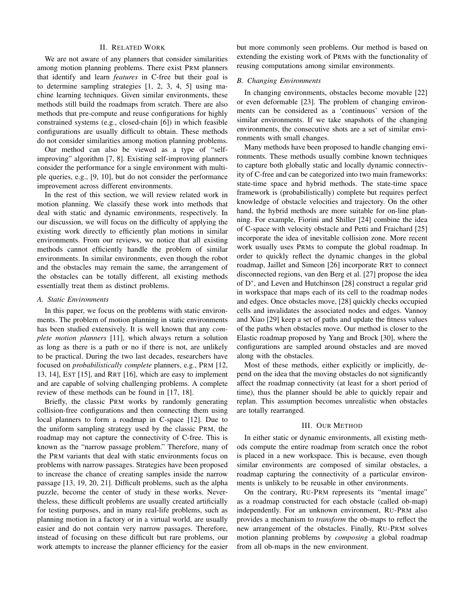#### II. RELATED WORK

We are not aware of any planners that consider similarities among motion planning problems. There exist PRM planners that identify and learn *features* in C-free but their goal is to determine sampling strategies [1, 2, 3, 4, 5] using machine learning techniques. Given similar environments, these methods still build the roadmaps from scratch. There are also methods that pre-compute and reuse configurations for highly constrained systems (e.g., closed-chain [6]) in which feasible configurations are usually difficult to obtain. These methods do not consider similarities among motion planning problems.

Our method can also be viewed as a type of "selfimproving" algorithm [7, 8]. Existing self-improving planners consider the performance for a single environment with multiple queries, e.g., [9, 10], but do not consider the performance improvement across different environments.

In the rest of this section, we will review related work in motion planning. We classify these work into methods that deal with static and dynamic environments, respectively. In our discussion, we will focus on the difficulty of applying the existing work directly to efficiently plan motions in similar environments. From our reviews, we notice that all existing methods cannot efficiently handle the problem of similar environments. In similar environments, even though the robot and the obstacles may remain the same, the arrangement of the obstacles can be totally different, all existing methods essentially treat them as distinct problems.

## *A. Static Environments*

In this paper, we focus on the problems with static environments. The problem of motion planning in static environments has been studied extensively. It is well known that any *complete motion planners* [11], which always return a solution as long as there is a path or no if there is not, are unlikely to be practical. During the two last decades, researchers have focused on *probabilistically complete* planners, e.g., PRM [12, 13, 14], EST [15], and RRT [16], which are easy to implement and are capable of solving challenging problems. A complete review of these methods can be found in [17, 18].

Briefly, the classic PRM works by randomly generating collision-free configurations and then connecting them using local planners to form a roadmap in C-space [12]. Due to the uniform sampling strategy used by the classic PRM, the roadmap may not capture the connectivity of C-free. This is known as the "narrow passage problem." Therefore, many of the PRM variants that deal with static environments focus on problems with narrow passages. Strategies have been proposed to increase the chance of creating samples inside the narrow passage [13, 19, 20, 21]. Difficult problems, such as the alpha puzzle, become the center of study in these works. Nevertheless, these difficult problems are usually created artificially for testing purposes, and in many real-life problems, such as planning motion in a factory or in a virtual world, are usually easier and do not contain very narrow passages. Therefore, instead of focusing on these difficult but rare problems, our work attempts to increase the planner efficiency for the easier but more commonly seen problems. Our method is based on extending the existing work of PRMs with the functionality of reusing computations among similar environments.

## *B. Changing Environments*

In changing environments, obstacles become movable [22] or even deformable [23]. The problem of changing environments can be considered as a 'continuous' version of the similar environments. If we take snapshots of the changing environments, the consecutive shots are a set of similar environments with small changes.

Many methods have been proposed to handle changing environments. These methods usually combine known techniques to capture both globally static and locally dynamic connectivity of C-free and can be categorized into two main frameworks: state-time space and hybrid methods. The state-time space framework is (probabilistically) complete but requires perfect knowledge of obstacle velocities and trajectory. On the other hand, the hybrid methods are more suitable for on-line planning. For example, Fiorini and Shiller [24] combine the idea of C-space with velocity obstacle and Petti and Fraichard [25] incorporate the idea of inevitable collision zone. More recent work usually uses PRMs to compute the global roadmap. In order to quickly reflect the dynamic changes in the global roadmap, Jaillet and Simeon [26] incorporate RRT to connect disconnected regions, van den Berg et al. [27] propose the idea of D∗, and Leven and Hutchinson [28] construct a regular grid in workspace that maps each of its cell to the roadmap nodes and edges. Once obstacles move, [28] quickly checks occupied cells and invalidates the associated nodes and edges. Vannoy and Xiao [29] keep a set of paths and update the fitness values of the paths when obstacles move. Our method is closer to the Elastic roadmap proposed by Yang and Brock [30], where the configurations are sampled around obstacles and are moved along with the obstacles.

Most of these methods, either explicitly or implicitly, depend on the idea that the moving obstacles do not significantly affect the roadmap connectivity (at least for a short period of time), thus the planner should be able to quickly repair and replan. This assumption becomes unrealistic when obstacles are totally rearranged.

## III. OUR METHOD

In either static or dynamic environments, all existing methods compute the entire roadmap from scratch once the robot is placed in a new workspace. This is because, even though similar environments are composed of similar obstacles, a roadmap capturing the connectivity of a particular environments is unlikely to be reusable in other environments.

On the contrary, RU-PRM represents its "mental image" as a roadmap constructed for each obstacle (called ob-map) independently. For an unknown environment, RU-PRM also provides a mechanism to *transform* the ob-maps to reflect the new arrangement of the obstacles. Finally, RU-PRM solves motion planning problems by *composing* a global roadmap from all ob-maps in the new environment.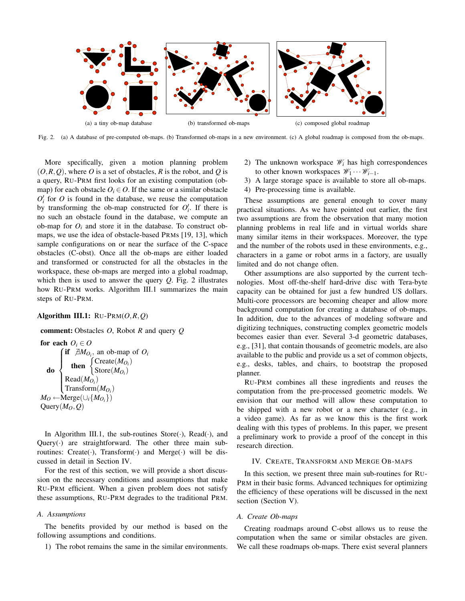

Fig. 2. (a) A database of pre-computed ob-maps. (b) Transformed ob-maps in a new environment. (c) A global roadmap is composed from the ob-maps.

More specifically, given a motion planning problem  $(O, R, Q)$ , where O is a set of obstacles, R is the robot, and Q is a query, RU-PRM first looks for an existing computation (obmap) for each obstacle  $O_i \in O$ . If the same or a similar obstacle  $O_i'$  for  $O$  is found in the database, we reuse the computation by transforming the ob-map constructed for  $O_i'$ . If there is no such an obstacle found in the database, we compute an ob-map for  $O_i$  and store it in the database. To construct obmaps, we use the idea of obstacle-based PRMs [19, 13], which sample configurations on or near the surface of the C-space obstacles (C-obst). Once all the ob-maps are either loaded and transformed or constructed for all the obstacles in the workspace, these ob-maps are merged into a global roadmap, which then is used to answer the query *Q*. Fig. 2 illustrates how RU-PRM works. Algorithm III.1 summarizes the main steps of RU-PRM.

#### Algorithm III.1:  $RU$ - $PRM(O, R, Q)$

# comment: Obstacles *O*, Robot *R* and query *Q*

**for each** 
$$
O_i \in O
$$
  
\n**if**  $\not\exists M_{O_i}$ , an ob-map of  $O_i$   
\n**then**  $\begin{cases} \text{Create}(M_{O_i}) \\ \text{Store}(M_{O_i}) \end{cases}$   
\nRead( $M_{O_i}$ )  
\nTransform( $M_{O_i}$ )  
\n $M_O \leftarrow \text{Merge}(\cup_i \{M_{O_i}\})$   
\nQuery( $M_O, Q$ )

In Algorithm III.1, the sub-routines  $Store(\cdot)$ , Read( $\cdot$ ), and Query $(\cdot)$  are straightforward. The other three main subroutines: Create( $\cdot$ ), Transform $(\cdot)$  and Merge $(\cdot)$  will be discussed in detail in Section IV.

For the rest of this section, we will provide a short discussion on the necessary conditions and assumptions that make RU-PRM efficient. When a given problem does not satisfy these assumptions, RU-PRM degrades to the traditional PRM.

## *A. Assumptions*

The benefits provided by our method is based on the following assumptions and conditions.

1) The robot remains the same in the similar environments.

- 2) The unknown workspace *W<sup>i</sup>* has high correspondences to other known workspaces  $\mathcal{W}_1 \cdots \mathcal{W}_{i-1}$ .
- 3) A large storage space is available to store all ob-maps.
- 4) Pre-processing time is available.

These assumptions are general enough to cover many practical situations. As we have pointed out earlier, the first two assumptions are from the observation that many motion planning problems in real life and in virtual worlds share many similar items in their workspaces. Moreover, the type and the number of the robots used in these environments, e.g., characters in a game or robot arms in a factory, are usually limited and do not change often.

Other assumptions are also supported by the current technologies. Most off-the-shelf hard-drive disc with Tera-byte capacity can be obtained for just a few hundred US dollars. Multi-core processors are becoming cheaper and allow more background computation for creating a database of ob-maps. In addition, due to the advances of modeling software and digitizing techniques, constructing complex geometric models becomes easier than ever. Several 3-d geometric databases, e.g., [31], that contain thousands of geometric models, are also available to the public and provide us a set of common objects, e.g., desks, tables, and chairs, to bootstrap the proposed planner.

RU-PRM combines all these ingredients and reuses the computation from the pre-processed geometric models. We envision that our method will allow these computation to be shipped with a new robot or a new character (e.g., in a video game). As far as we know this is the first work dealing with this types of problems. In this paper, we present a preliminary work to provide a proof of the concept in this research direction.

# IV. CREATE, TRANSFORM AND MERGE OB-MAPS

In this section, we present three main sub-routines for RU-PRM in their basic forms. Advanced techniques for optimizing the efficiency of these operations will be discussed in the next section (Section V).

# *A. Create Ob-maps*

Creating roadmaps around C-obst allows us to reuse the computation when the same or similar obstacles are given. We call these roadmaps ob-maps. There exist several planners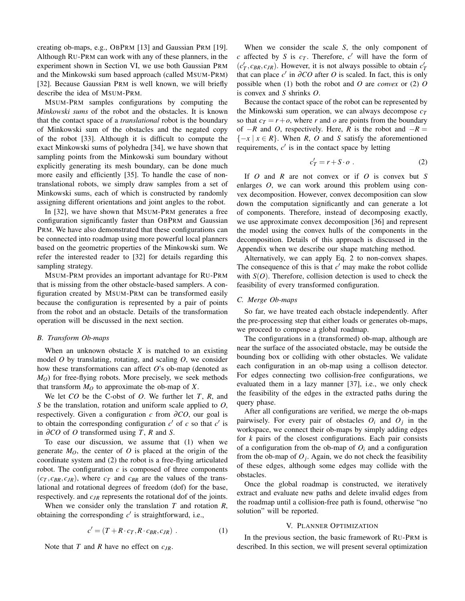creating ob-maps, e.g., OBPRM [13] and Gaussian PRM [19]. Although RU-PRM can work with any of these planners, in the experiment shown in Section VI, we use both Gaussian PRM and the Minkowski sum based approach (called MSUM-PRM) [32]. Because Gaussian PRM is well known, we will briefly describe the idea of MSUM-PRM.

MSUM-PRM samples configurations by computing the *Minkowski sums* of the robot and the obstacles. It is known that the contact space of a *translational* robot is the boundary of Minkowski sum of the obstacles and the negated copy of the robot [33]. Although it is difficult to compute the exact Minkowski sums of polyhedra [34], we have shown that sampling points from the Minkowski sum boundary without explicitly generating its mesh boundary, can be done much more easily and efficiently [35]. To handle the case of nontranslational robots, we simply draw samples from a set of Minkowski sums, each of which is constructed by randomly assigning different orientations and joint angles to the robot.

In [32], we have shown that MSUM-PRM generates a free configuration significantly faster than OBPRM and Gaussian PRM. We have also demonstrated that these configurations can be connected into roadmap using more powerful local planners based on the geometric properties of the Minkowski sum. We refer the interested reader to [32] for details regarding this sampling strategy.

MSUM-PRM provides an important advantage for RU-PRM that is missing from the other obstacle-based samplers. A configuration created by MSUM-PRM can be transformed easily because the configuration is represented by a pair of points from the robot and an obstacle. Details of the transformation operation will be discussed in the next section.

#### *B. Transform Ob-maps*

When an unknown obstacle *X* is matched to an existing model *O* by translating, rotating, and scaling *O*, we consider how these transformations can affect *O*'s ob-map (denoted as  $M<sub>O</sub>$ ) for free-flying robots. More precisely, we seek methods that transform  $M<sub>O</sub>$  to approximate the ob-map of *X*.

We let *CO* be the C-obst of *O*. We further let *T*, *R*, and *S* be the translation, rotation and uniform scale applied to *O*, respectively. Given a configuration *c* from ∂*CO*, our goal is to obtain the corresponding configuration  $c'$  of  $c$  so that  $c'$  is in ∂*CO* of *O* transformed using *T*, *R* and *S*.

To ease our discussion, we assume that (1) when we generate  $M<sub>O</sub>$ , the center of  $O$  is placed at the origin of the coordinate system and (2) the robot is a free-flying articulated robot. The configuration  $c$  is composed of three components  $(c_T, c_{BR}, c_{JR})$ , where  $c_T$  and  $c_{BR}$  are the values of the translational and rotational degrees of freedom (dof) for the base, respectively. and *cJR* represents the rotational dof of the joints.

When we consider only the translation *T* and rotation *R*, obtaining the corresponding  $c'$  is straightforward, i.e.,

$$
c' = (T + R \cdot c_T, R \cdot c_{BR}, c_{JR}). \qquad (1)
$$

Note that *T* and *R* have no effect on *cJR*.

When we consider the scale *S*, the only component of  $c$  affected by *S* is  $c_T$ . Therefore,  $c'$  will have the form of  $(c_T^{\prime}, c_{BR}, c_{JR})$ . However, it is not always possible to obtain  $c_T^{\prime}$ that can place  $c'$  in  $\partial CO$  after *O* is scaled. In fact, this is only possible when (1) both the robot and *O* are *convex* or (2) *O* is convex and *S* shrinks *O*.

Because the contact space of the robot can be represented by the Minkowski sum operation, we can always decompose  $c_T$ so that  $c_T = r + o$ , where *r* and *o* are points from the boundary of −*R* and *O*, respectively. Here, *R* is the robot and −*R* =  ${-x | x \in R}$ . When *R*, *O* and *S* satisfy the aforementioned requirements,  $c'$  is in the contact space by letting

$$
c'_T = r + S \cdot o \tag{2}
$$

If *O* and *R* are not convex or if *O* is convex but *S* enlarges *O*, we can work around this problem using convex decomposition. However, convex decomposition can slow down the computation significantly and can generate a lot of components. Therefore, instead of decomposing exactly, we use approximate convex decomposition [36] and represent the model using the convex hulls of the components in the decomposition. Details of this approach is discussed in the Appendix when we describe our shape matching method.

Alternatively, we can apply Eq. 2 to non-convex shapes. The consequence of this is that  $c'$  may make the robot collide with  $S(O)$ . Therefore, collision detection is used to check the feasibility of every transformed configuration.

## *C. Merge Ob-maps*

So far, we have treated each obstacle independently. After the pre-processing step that either loads or generates ob-maps, we proceed to compose a global roadmap.

The configurations in a (transformed) ob-map, although are near the surface of the associated obstacle, may be outside the bounding box or colliding with other obstacles. We validate each configuration in an ob-map using a collison detector. For edges connecting two collision-free configurations, we evaluated them in a lazy manner [37], i.e., we only check the feasibility of the edges in the extracted paths during the query phase.

After all configurations are verified, we merge the ob-maps pairwisely. For every pair of obstacles  $O_i$  and  $O_j$  in the workspace, we connect their ob-maps by simply adding edges for *k* pairs of the closest configurations. Each pair consists of a configuration from the ob-map of  $O_i$  and a configuration from the ob-map of  $O_i$ . Again, we do not check the feasibility of these edges, although some edges may collide with the obstacles.

Once the global roadmap is constructed, we iteratively extract and evaluate new paths and delete invalid edges from the roadmap until a collision-free path is found, otherwise "no solution" will be reported.

## V. PLANNER OPTIMIZATION

In the previous section, the basic framework of RU-PRM is described. In this section, we will present several optimization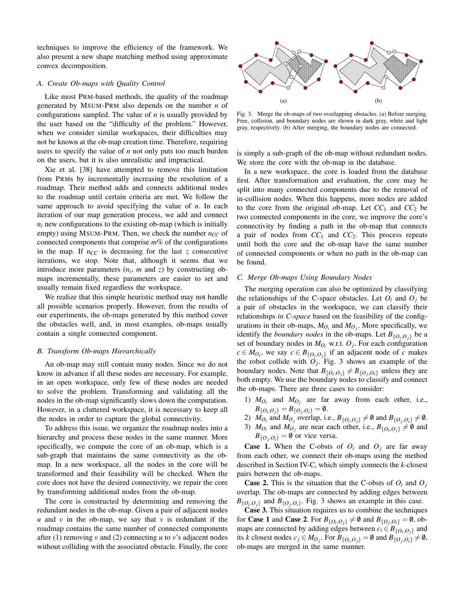techniques to improve the efficiency of the framework. We also present a new shape matching method using approximate convex decomposition.

#### *A. Create Ob-maps with Quality Control*

Like most PRM-based methods, the quality of the roadmap generated by MSUM-PRM also depends on the number *n* of configurations sampled. The value of *n* is usually provided by the user based on the "difficulty of the problem." However, when we consider similar workspaces, their difficulties may not be known at the ob-map creation time. Therefore, requiring users to specify the value of *n* not only puts too much burden on the users, but it is also unrealistic and impractical.

Xie et al. [38] have attempted to remove this limitation from PRMs by incrementally increasing the resolution of a roadmap. Their method adds and connects additional nodes to the roadmap until certain criteria are met. We follow the same approach to avoid specifying the value of *n*. In each iteration of our map generation process, we add and connect  $n_i$  new configurations to the existing ob-map (which is initially empty) using MSUM-PRM. Then, we check the number  $n_{CC}$  of connected components that comprise *m*% of the configurations in the map. If  $n_{CC}$  is decreasing for the last *z* consecutive iterations, we stop. Note that, although it seems that we introduce more parameters  $(n_i, m \text{ and } z)$  by constructing obmaps incrementally, these parameters are easier to set and usually remain fixed regardless the workspace.

We realize that this simple heuristic method may not handle all possible scenarios properly. However, from the results of our experiments, the ob-maps generated by this method cover the obstacles well, and, in most examples, ob-maps usually contain a single connected component.

#### *B. Transform Ob-maps Hierarchically*

An ob-map may still contain many nodes. Since we do not know in advance if all these nodes are necessary. For example, in an open workspace, only few of these nodes are needed to solve the problem. Transforming and validating all the nodes in the ob-map significantly slows down the computation. However, in a cluttered workspace, it is necessary to keep all the nodes in order to capture the global connectivity.

To address this issue, we organize the roadmap nodes into a hierarchy and process these nodes in the same manner. More specifically, we compute the core of an ob-map, which is a sub-graph that maintains the same connectivity as the obmap. In a new workspace, all the nodes in the core will be transformed and their feasibility will be checked. When the core does not have the desired connectivity, we repair the core by transforming additional nodes from the ob-map.

The core is constructed by determining and removing the redundant nodes in the ob-map. Given a pair of adjacent nodes  $u$  and  $v$  in the ob-map, we say that  $v$  is redundant if the roadmap contains the same number of connected components after (1) removing *v* and (2) connecting *u* to *v*'s adjacent nodes without colliding with the associated obstacle. Finally, the core



Fig. 3. Merge the ob-maps of two overlapping obstacles. (a) Before merging. Free, collision, and boundary nodes are shown in dark gray, white and light gray, respectively. (b) After merging, the boundary nodes are connected.

is simply a sub-graph of the ob-map without redundant nodes. We store the core with the ob-map in the database.

In a new workspace, the core is loaded from the database first. After transformation and evaluation, the core may be split into many connected components due to the removal of in-collision nodes. When this happens, more nodes are added to the core from the original ob-map. Let  $CC_1$  and  $CC_2$  be two connected components in the core, we improve the core's connectivity by finding a path in the ob-map that connects a pair of nodes from  $CC_1$  and  $CC_2$ . This process repeats until both the core and the ob-map have the same number of connected components or when no path in the ob-map can be found.

# *C. Merge Ob-maps Using Boundary Nodes*

The merging operation can also be optimized by classifying the relationships of the C-space obstacles. Let  $O_i$  and  $O_j$  be a pair of obstacles in the workspace, we can classify their relationships *in C-space* based on the feasibility of the configurations in their ob-maps,  $M_{O_i}$  and  $M_{O_j}$ . More specifically, we identify the *boundary nodes* in the ob-maps. Let  $B_{\{O_i, O_i\}}$  be a set of boundary nodes in  $M_{O_i}$  w.r.t.  $O_j$ . For each configuration  $c \in M_{O_i}$ , we say  $c \in B_{\{O_i, O_j\}}$  if an adjacent node of *c* makes the robot collide with  $O_j$ . Fig. 3 shows an example of the boundary nodes. Note that  $B_{\{O_i, O_i\}} \neq B_{\{O_i, O_i\}}$  unless they are both empty. We use the boundary nodes to classify and connect the ob-maps. There are three cases to consider:

- 1)  $M_{O_i}$  and  $M_{O_j}$  are far away from each other, i.e.,  $B_{\{O_i, O_j\}} = B_{\{O_j, O_j\}} = \emptyset.$
- 2) *M*<sub>O<sub>i</sub></sub> and *M*<sub>O<sub>j</sub></sub> overlap, i.e.,  $B_{\{O_i, O_j\}} \neq \emptyset$  and  $B_{\{O_j, O_i\}} \neq \emptyset$ .
- 3) *M*<sub>*O<sub>i</sub>*</sub> and *M*<sub>*O<sub>j</sub>*</sub> are near each other, i.e.,  $B_{\{O_i, O_j\}} \neq \emptyset$  and  $B_{\{O_j, O_i\}} = \emptyset$  or vice versa.

**Case 1.** When the C-obsts of  $O_i$  and  $O_j$  are far away from each other, we connect their ob-maps using the method described in Section IV-C, which simply connects the *k*-closest pairs between the ob-maps.

**Case 2.** This is the situation that the C-obsts of  $O_i$  and  $O_j$ overlap. The ob-maps are connected by adding edges between  $B_{\{O_i, O_j\}}$  and  $B_{\{O_i, O_i\}}$ . Fig. 3 shows an example in this case.

Case 3. This situation requires us to combine the techniques for **Case 1** and **Case 2**. For  $B_{\{O_i, O_i\}} \neq \emptyset$  and  $B_{\{O_i, O_i\}} = \emptyset$ , obmaps are connected by adding edges between  $c_i \in B_{\{O_i, O_i\}}$  and its *k* closest nodes  $c_j \in M_{O_j}$ . For  $B_{\{O_i, O_j\}} = \emptyset$  and  $B_{\{O_j, O_i\}} \neq \emptyset$ , ob-maps are merged in the same manner.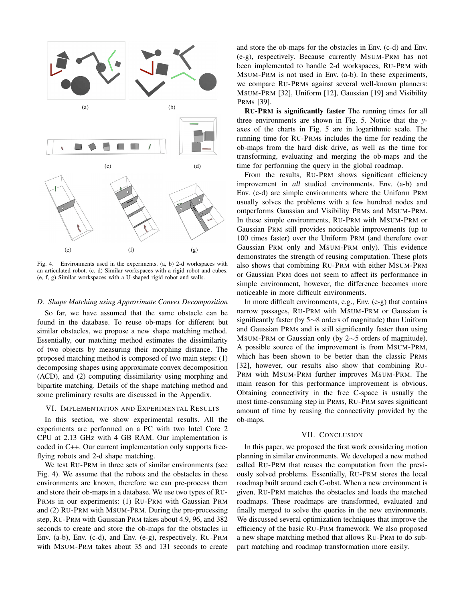

Fig. 4. Environments used in the experiments. (a, b) 2-d workspaces with an articulated robot. (c, d) Similar workspaces with a rigid robot and cubes. (e, f, g) Similar workspaces with a U-shaped rigid robot and walls.

# *D. Shape Matching using Approximate Convex Decomposition*

So far, we have assumed that the same obstacle can be found in the database. To reuse ob-maps for different but similar obstacles, we propose a new shape matching method. Essentially, our matching method estimates the dissimilarity of two objects by measuring their morphing distance. The proposed matching method is composed of two main steps: (1) decomposing shapes using approximate convex decomposition (ACD), and (2) computing dissimilarity using morphing and bipartite matching. Details of the shape matching method and some preliminary results are discussed in the Appendix.

#### VI. IMPLEMENTATION AND EXPERIMENTAL RESULTS

In this section, we show experimental results. All the experiments are performed on a PC with two Intel Core 2 CPU at 2.13 GHz with 4 GB RAM. Our implementation is coded in C++. Our current implementation only supports freeflying robots and 2-d shape matching.

We test RU-PRM in three sets of similar environments (see Fig. 4). We assume that the robots and the obstacles in these environments are known, therefore we can pre-process them and store their ob-maps in a database. We use two types of RU-PRMs in our experiments: (1) RU-PRM with Gaussian PRM and (2) RU-PRM with MSUM-PRM. During the pre-processing step, RU-PRM with Gaussian PRM takes about 4.9, 96, and 382 seconds to create and store the ob-maps for the obstacles in Env. (a-b), Env. (c-d), and Env. (e-g), respectively. RU-PRM with MSUM-PRM takes about 35 and 131 seconds to create

and store the ob-maps for the obstacles in Env. (c-d) and Env. (e-g), respectively. Because currently MSUM-PRM has not been implemented to handle 2-d workspaces, RU-PRM with MSUM-PRM is not used in Env. (a-b). In these experiments, we compare RU-PRMs against several well-known planners: MSUM-PRM [32], Uniform [12], Gaussian [19] and Visibility PRMs [39].

RU-PRM is significantly faster The running times for all three environments are shown in Fig. 5. Notice that the *y*axes of the charts in Fig. 5 are in logarithmic scale. The running time for RU-PRMs includes the time for reading the ob-maps from the hard disk drive, as well as the time for transforming, evaluating and merging the ob-maps and the time for performing the query in the global roadmap.

From the results, RU-PRM shows significant efficiency improvement in *all* studied environments. Env. (a-b) and Env. (c-d) are simple environments where the Uniform PRM usually solves the problems with a few hundred nodes and outperforms Gaussian and Visibility PRMs and MSUM-PRM. In these simple environments, RU-PRM with MSUM-PRM or Gaussian PRM still provides noticeable improvements (up to 100 times faster) over the Uniform PRM (and therefore over Gaussian PRM only and MSUM-PRM only). This evidence demonstrates the strength of reusing computation. These plots also shows that combining RU-PRM with either MSUM-PRM or Gaussian PRM does not seem to affect its performance in simple environment, however, the difference becomes more noticeable in more difficult environments.

In more difficult environments, e.g., Env. (e-g) that contains narrow passages, RU-PRM with MSUM-PRM or Gaussian is significantly faster (by 5∼8 orders of magnitude) than Uniform and Gaussian PRMs and is still significantly faster than using MSUM-PRM or Gaussian only (by 2∼5 orders of magnitude). A possible source of the improvement is from MSUM-PRM, which has been shown to be better than the classic PRMs [32], however, our results also show that combining RU-PRM with MSUM-PRM further improves MSUM-PRM. The main reason for this performance improvement is obvious. Obtaining connectivity in the free C-space is usually the most time-consuming step in PRMs, RU-PRM saves significant amount of time by reusing the connectivity provided by the ob-maps.

#### VII. CONCLUSION

In this paper, we proposed the first work considering motion planning in similar environments. We developed a new method called RU-PRM that reuses the computation from the previously solved problems. Essentially, RU-PRM stores the local roadmap built around each C-obst. When a new environment is given, RU-PRM matches the obstacles and loads the matched roadmaps. These roadmaps are transformed, evaluated and finally merged to solve the queries in the new environments. We discussed several optimization techniques that improve the efficiency of the basic RU-PRM framework. We also proposed a new shape matching method that allows RU-PRM to do subpart matching and roadmap transformation more easily.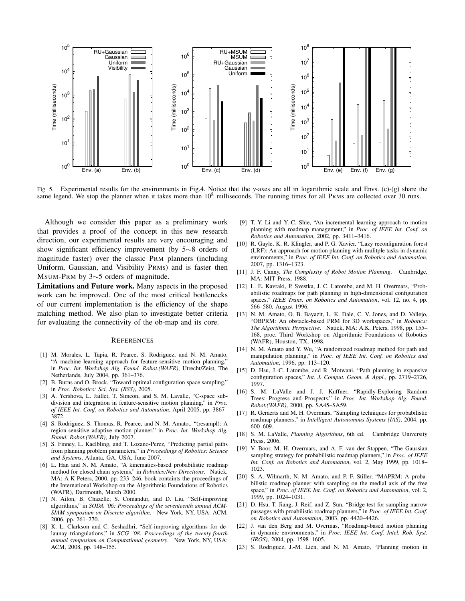

Fig. 5. Experimental results for the environments in Fig.4. Notice that the *y*-axes are all in logarithmic scale and Envs. (c)-(g) share the same legend. We stop the planner when it takes more than  $10<sup>8</sup>$  milliseconds. The running times for all PRMs are collected over 30 runs.

Although we consider this paper as a preliminary work that provides a proof of the concept in this new research direction, our experimental results are very encouraging and show significant efficiency improvement (by 5∼8 orders of magnitude faster) over the classic PRM planners (including Uniform, Gaussian, and Visibility PRMs) and is faster then MSUM-PRM by 3∼5 orders of magnitude.

Limitations and Future work. Many aspects in the proposed work can be improved. One of the most critical bottlenecks of our current implementation is the efficiency of the shape matching method. We also plan to investigate better criteria for evaluating the connectivity of the ob-map and its core.

#### **REFERENCES**

- [1] M. Morales, L. Tapia, R. Pearce, S. Rodriguez, and N. M. Amato, "A machine learning approach for feature-sensitive motion planning," in *Proc. Int. Workshop Alg. Found. Robot.(WAFR)*, Utrecht/Zeist, The Netherlands, July 2004, pp. 361–376.
- [2] B. Burns and O. Brock, "Toward optimal configuration space sampling," in *Proc. Robotics: Sci. Sys. (RSS)*, 2005.
- [3] A. Yershova, L. Jaillet, T. Simeon, and S. M. Lavalle, "C-space subdivision and integration in feature-sensitive motion planning," in *Proc. of IEEE Int. Conf. on Robotics and Automation*, April 2005, pp. 3867– 3872.
- [4] S. Rodriguez, S. Thomas, R. Pearce, and N. M. Amato., "(resampl): A region-sensitive adaptive motion planner," in *Proc. Int. Workshop Alg. Found. Robot.(WAFR)*, July 2007.
- [5] S. Finney, L. Kaelbling, and T. Lozano-Perez, "Predicting partial paths from planning problem parameters," in *Proceedings of Robotics: Science and Systems*, Atlanta, GA, USA, June 2007.
- [6] L. Han and N. M. Amato, "A kinematics-based probabilistic roadmap method for closed chain systems," in *Robotics:New Directions*. Natick, MA: A K Peters, 2000, pp. 233–246, book containts the proceedings of the International Workshop on the Algorithmic Foundations of Robotics (WAFR), Dartmouth, March 2000.
- [7] N. Ailon, B. Chazelle, S. Comandur, and D. Liu, "Self-improving algorithms," in *SODA '06: Proceedings of the seventeenth annual ACM-SIAM symposium on Discrete algorithm*. New York, NY, USA: ACM, 2006, pp. 261–270.
- [8] K. L. Clarkson and C. Seshadhri, "Self-improving algorithms for delaunay triangulations," in *SCG '08: Proceedings of the twenty-fourth annual symposium on Computational geometry*. New York, NY, USA: ACM, 2008, pp. 148–155.
- [9] T.-Y. Li and Y.-C. Shie, "An incremental learning approach to motion planning with roadmap management," in *Proc. of IEEE Int. Conf. on Robotics and Automation*, 2002, pp. 3411–3416.
- [10] R. Gayle, K. R. Klingler, and P. G. Xavier, "Lazy reconfiguration forest (LRF): An approach for motion planning with mulitple tasks in dynamic environments," in *Proc. of IEEE Int. Conf. on Robotics and Automation*, 2007, pp. 1316–1323.
- [11] J. F. Canny, *The Complexity of Robot Motion Planning*. Cambridge, MA: MIT Press, 1988.
- [12] L. E. Kavraki, P. Svestka, J. C. Latombe, and M. H. Overmars, "Probabilistic roadmaps for path planning in high-dimensional configuration spaces," *IEEE Trans. on Robotics and Automation*, vol. 12, no. 4, pp. 566–580, August 1996.
- [13] N. M. Amato, O. B. Bayazit, L. K. Dale, C. V. Jones, and D. Vallejo, "OBPRM: An obstacle-based PRM for 3D workspaces," in *Robotics: The Algorithmic Perspective*. Natick, MA: A.K. Peters, 1998, pp. 155– 168, proc. Third Workshop on Algorithmic Foundations of Robotics (WAFR), Houston, TX, 1998.
- [14] N. M. Amato and Y. Wu, "A randomized roadmap method for path and manipulation planning," in *Proc. of IEEE Int. Conf. on Robotics and Automation*, 1996, pp. 113–120.
- [15] D. Hsu, J.-C. Latombe, and R. Motwani, "Path planning in expansive configuration spaces," *Int. J. Comput. Geom. & Appl.*, pp. 2719–2726, 1997.
- [16] S. M. LaValle and J. J. Kuffner, "Rapidly-Exploring Random Trees: Progress and Prospects," in *Proc. Int. Workshop Alg. Found. Robot.(WAFR)*, 2000, pp. SA45–SA59.
- [17] R. Geraerts and M. H. Overmars, "Sampling techniques for probabilistic roadmap planners," in *Intelligent Autonomous Systems (IAS)*, 2004, pp. 600–609.
- [18] S. M. LaValle, *Planning Algorithms*, 6th ed. Cambridge University Press, 2006.
- [19] V. Boor, M. H. Overmars, and A. F. van der Stappen, "The Gaussian sampling strategy for probabilistic roadmap planners," in *Proc. of IEEE Int. Conf. on Robotics and Automation*, vol. 2, May 1999, pp. 1018– 1023.
- [20] S. A. Wilmarth, N. M. Amato, and P. F. Stiller, "MAPRM: A probabilistic roadmap planner with sampling on the medial axis of the free space," in *Proc. of IEEE Int. Conf. on Robotics and Automation*, vol. 2, 1999, pp. 1024–1031.
- [21] D. Hsu, T. Jiang, J. Reif, and Z. Sun, "Bridge test for sampling narrow passages with proabilistic roadmap planners," in *Proc. of IEEE Int. Conf. on Robotics and Automation*, 2003, pp. 4420–4426.
- [22] J. van den Berg and M. Overmas, "Roadmap-based motion planning in dynamic environments," in *Proc. IEEE Int. Conf. Intel. Rob. Syst. (IROS)*, 2004, pp. 1598–1605.
- [23] S. Rodriguez, J.-M. Lien, and N. M. Amato, "Planning motion in